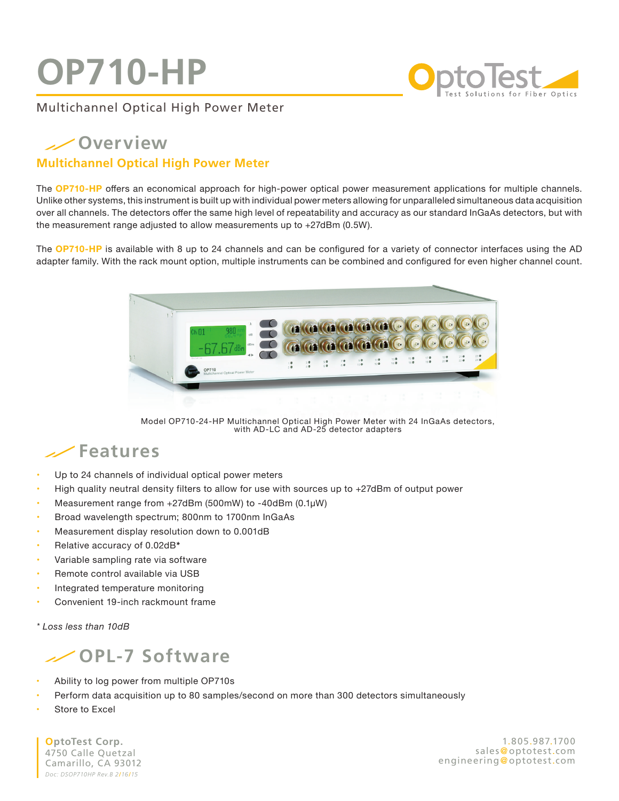## **OP710-HP**



### Multichannel Optical High Power Meter

## **Overview**

#### **Multichannel Optical High Power Meter**

The **OP710-HP** offers an economical approach for high-power optical power measurement applications for multiple channels. Unlike other systems, this instrument is built up with individual power meters allowing for unparalleled simultaneous data acquisition over all channels. The detectors offer the same high level of repeatability and accuracy as our standard InGaAs detectors, but with the measurement range adjusted to allow measurements up to +27dBm (0.5W).

The **OP710-HP** is available with 8 up to 24 channels and can be configured for a variety of connector interfaces using the AD adapter family. With the rack mount option, multiple instruments can be combined and configured for even higher channel count.



Model OP710-24-HP Multichannel Optical High Power Meter with 24 InGaAs detectors, with AD-LC and AD-25 detector adapters

### **Features**

- Up to 24 channels of individual optical power meters
- **•**  High quality neutral density filters to allow for use with sources up to +27dBm of output power
- **•**  Measurement range from +27dBm (500mW) to -40dBm (0.1µW)
- Broad wavelength spectrum; 800nm to 1700nm InGaAs
- **Measurement display resolution down to 0.001dB**
- **•**  Relative accuracy of 0.02dB*\** **NEW**
- Variable sampling rate via software
- **Remote control available via USB**
- **Integrated temperature monitoring**
- Convenient 19-inch rackmount frame

*\* Loss less than 10dB*



- Ability to log power from multiple OP710s
- Perform data acquisition up to 80 samples/second on more than 300 detectors simultaneously
- **Store to Excel**

**OptoTest Corp.** 4750 Calle Quetzal **NEW** Camarillo, CA 93012 *Doc: DSOP710HP Rev.B 2*/*16*/*15*